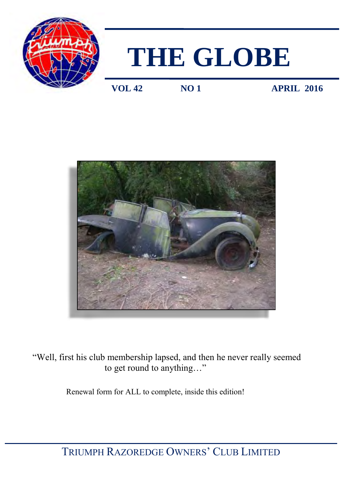

# **THE GLOBE**

**VOL 42 NO 1 APRIL 2016** 



 "Well, first his club membership lapsed, and then he never really seemed to get round to anything…"

Renewal form for ALL to complete, inside this edition!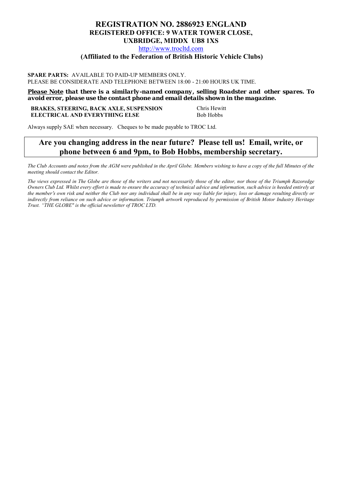### **REGISTRATION NO. 2886923 ENGLAND REGISTERED OFFICE: 9 WATER TOWER CLOSE, UXBRIDGE, MIDDX UB8 1XS**

[http://www.trocltd.com](http://www.trocltd.com/)

### **(Affiliated to the Federation of British Historic Vehicle Clubs)**

### **SPARE PARTS:** AVAILABLE TO PAID-UP MEMBERS ONLY. PLEASE BE CONSIDERATE AND TELEPHONE BETWEEN 18:00 - 21:00 HOURS UK TIME.

*Please Note that there is a similarly-named company, selling Roadster and other spares. To avoid error, please use the contact phone and email details shown in the magazine.*

### **BRAKES, STEERING, BACK AXLE, SUSPENSION Chris Hewitt ELECTRICAL AND EVERYTHING ELSE** Bob Hobbs

Always supply SAE when necessary. Cheques to be made payable to TROC Ltd.

### **Are you changing address in the near future? Please tell us! Email, write, or phone between 6 and 9pm, to Bob Hobbs, membership secretary.**

The Club Accounts and notes from the AGM were published in the April Globe. Members wishing to have a copy of the full Minutes of the *meeting should contact the Editor.* 

*The views expressed in The Globe are those of the writers and not necessarily those of the editor, nor those of the Triumph Razoredge Owners Club Ltd. Whilst every effort is made to ensure the accuracy of technical advice and information, such advice is heeded entirely at the member*'*s own risk and neither the Club nor any individual shall be in any way liable for injury, loss or damage resulting directly or indirectly from reliance on such advice or information. Triumph artwork reproduced by permission of British Motor Industry Heritage Trust. "THE GLOBE" is the official newsletter of TROC LTD.*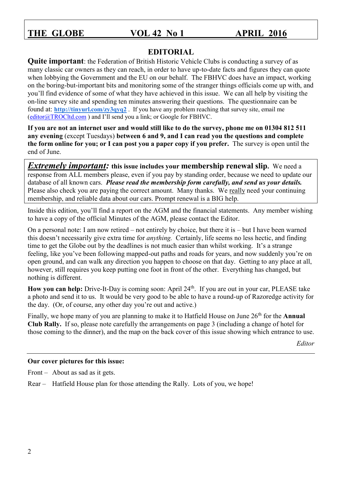### **EDITORIAL**

**Quite important**: the Federation of British Historic Vehicle Clubs is conducting a survey of as many classic car owners as they can reach, in order to have up-to-date facts and figures they can quote when lobbying the Government and the EU on our behalf. The FBHVC does have an impact, working on the boring-but-important bits and monitoring some of the stranger things officials come up with, and you'll find evidence of some of what they have achieved in this issue. We can all help by visiting the on-line survey site and spending ten minutes answering their questions. The questionnaire can be found at: **<http://tinyurl.com/zy3qyq2>** . If you have any problem reaching that survey site, email me [\(editor@TROCltd.com](mailto:editor@TROCltd.com) ) and I'll send you a link; or Google for FBHVC.

**If you are not an internet user and would still like to do the survey, phone me on 01304 812 511 any evening** (except Tuesdays) **between 6 and 9, and I can read you the questions and complete the form online for you; or I can post you a paper copy if you prefer.** The survey is open until the end of June.

*Extremely important:* **this issue includes your membership renewal slip. We need a** response from ALL members please, even if you pay by standing order, because we need to update our database of all known cars. *Please read the membership form carefully, and send us your details.* Please also check you are paying the correct amount. Many thanks. We really need your continuing membership, and reliable data about our cars. Prompt renewal is a BIG help.

Inside this edition, you'll find a report on the AGM and the financial statements. Any member wishing to have a copy of the official Minutes of the AGM, please contact the Editor.

On a personal note: I am now retired – not entirely by choice, but there it is – but I have been warned this doesn't necessarily give extra time for *anything.* Certainly, life seems no less hectic, and finding time to get the Globe out by the deadlines is not much easier than whilst working. It's a strange feeling, like you've been following mapped-out paths and roads for years, and now suddenly you're on open ground, and can walk any direction you happen to choose on that day. Getting to any place at all, however, still requires you keep putting one foot in front of the other. Everything has changed, but nothing is different.

How you can help: Drive-It-Day is coming soon: April 24<sup>th</sup>. If you are out in your car, PLEASE take a photo and send it to us. It would be very good to be able to have a round-up of Razoredge activity for the day. (Or, of course, any other day you're out and active.)

Finally, we hope many of you are planning to make it to Hatfield House on June 26<sup>th</sup> for the **Annual Club Rally.** If so, please note carefully the arrangements on page 3 (including a change of hotel for those coming to the dinner), and the map on the back cover of this issue showing which entrance to use.

*Editor* 

### **Our cover pictures for this issue:**

Front – About as sad as it gets.

Rear – Hatfield House plan for those attending the Rally. Lots of you, we hope!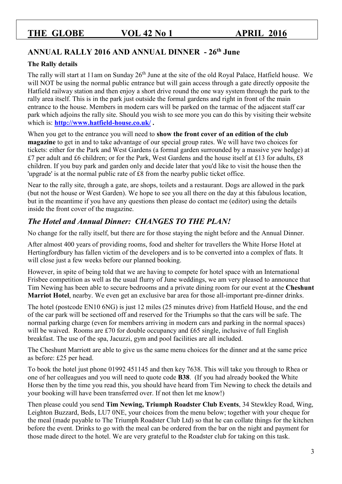### **ANNUAL RALLY 2016 AND ANNUAL DINNER - 26th June**

### **The Rally details**

The rally will start at 11am on Sunday 26<sup>th</sup> June at the site of the old Royal Palace, Hatfield house. We will NOT be using the normal public entrance but will gain access through a gate directly opposite the Hatfield railway station and then enjoy a short drive round the one way system through the park to the rally area itself. This is in the park just outside the formal gardens and right in front of the main entrance to the house. Members in modern cars will be parked on the tarmac of the adjacent staff car park which adjoins the rally site. Should you wish to see more you can do this by visiting their website which is: **<http://www.hatfield-house.co.uk/> .**

When you get to the entrance you will need to **show the front cover of an edition of the club magazine** to get in and to take advantage of our special group rates. We will have two choices for tickets: either for the Park and West Gardens (a formal garden surrounded by a massive yew hedge) at £7 per adult and £6 children; or for the Park, West Gardens and the house itself at £13 for adults, £8 children. If you buy park and garden only and decide later that you'd like to visit the house then the 'upgrade' is at the normal public rate of £8 from the nearby public ticket office.

Near to the rally site, through a gate, are shops, toilets and a restaurant. Dogs are allowed in the park (but not the house or West Garden). We hope to see you all there on the day at this fabulous location, but in the meantime if you have any questions then please do contact me (editor) using the details inside the front cover of the magazine.

## *The Hotel and Annual Dinner: CHANGES TO THE PLAN!*

No change for the rally itself, but there are for those staying the night before and the Annual Dinner.

After almost 400 years of providing rooms, food and shelter for travellers the White Horse Hotel at Hertingfordbury has fallen victim of the developers and is to be converted into a complex of flats. It will close just a few weeks before our planned booking.

However, in spite of being told that we are having to compete for hotel space with an International Frisbee competition as well as the usual flurry of June weddings, we am very pleased to announce that Tim Newing has been able to secure bedrooms and a private dining room for our event at the **Cheshunt Marriot Hotel**, nearby. We even get an exclusive bar area for those all-important pre-dinner drinks.

The hotel (postcode EN10 6NG) is just 12 miles (25 minutes drive) from Hatfield House, and the end of the car park will be sectioned off and reserved for the Triumphs so that the cars will be safe. The normal parking charge (even for members arriving in modern cars and parking in the normal spaces) will be waived. Rooms are £70 for double occupancy and £65 single, inclusive of full English breakfast. The use of the spa, Jacuzzi, gym and pool facilities are all included.

The Cheshunt Marriott are able to give us the same menu choices for the dinner and at the same price as before: £25 per head.

To book the hotel just phone 01992 451145 and then key 7638. This will take you through to Rhea or one of her colleagues and you will need to quote code **B38**. (If you had already booked the White Horse then by the time you read this, you should have heard from Tim Newing to check the details and your booking will have been transferred over. If not then let me know!)

Then please could you send **Tim Newing, Triumph Roadster Club Events**, 34 Stewkley Road, Wing, Leighton Buzzard, Beds, LU7 0NE, your choices from the menu below; together with your cheque for the meal (made payable to The Triumph Roadster Club Ltd) so that he can collate things for the kitchen before the event. Drinks to go with the meal can be ordered from the bar on the night and payment for those made direct to the hotel. We are very grateful to the Roadster club for taking on this task.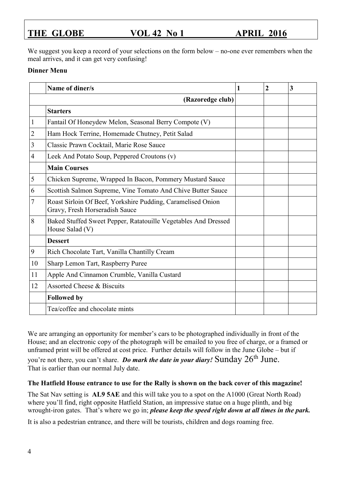We suggest you keep a record of your selections on the form below – no-one ever remembers when the meal arrives, and it can get very confusing!

### **Dinner Menu**

|    | Name of diner/s                                                                               | 1 | $\overline{2}$ | 3 |
|----|-----------------------------------------------------------------------------------------------|---|----------------|---|
|    | (Razoredge club)                                                                              |   |                |   |
|    | <b>Starters</b>                                                                               |   |                |   |
| 1  | Fantail Of Honeydew Melon, Seasonal Berry Compote (V)                                         |   |                |   |
| 2  | Ham Hock Terrine, Homemade Chutney, Petit Salad                                               |   |                |   |
| 3  | Classic Prawn Cocktail, Marie Rose Sauce                                                      |   |                |   |
| 4  | Leek And Potato Soup, Peppered Croutons (v)                                                   |   |                |   |
|    | <b>Main Courses</b>                                                                           |   |                |   |
| 5  | Chicken Supreme, Wrapped In Bacon, Pommery Mustard Sauce                                      |   |                |   |
| 6  | Scottish Salmon Supreme, Vine Tomato And Chive Butter Sauce                                   |   |                |   |
| 7  | Roast Sirloin Of Beef, Yorkshire Pudding, Caramelised Onion<br>Gravy, Fresh Horseradish Sauce |   |                |   |
| 8  | Baked Stuffed Sweet Pepper, Ratatouille Vegetables And Dressed<br>House Salad (V)             |   |                |   |
|    | <b>Dessert</b>                                                                                |   |                |   |
| 9  | Rich Chocolate Tart, Vanilla Chantilly Cream                                                  |   |                |   |
| 10 | Sharp Lemon Tart, Raspberry Puree                                                             |   |                |   |
| 11 | Apple And Cinnamon Crumble, Vanilla Custard                                                   |   |                |   |
| 12 | <b>Assorted Cheese &amp; Biscuits</b>                                                         |   |                |   |
|    | <b>Followed by</b>                                                                            |   |                |   |
|    | Tea/coffee and chocolate mints                                                                |   |                |   |

We are arranging an opportunity for member's cars to be photographed individually in front of the House; and an electronic copy of the photograph will be emailed to you free of charge, or a framed or unframed print will be offered at cost price. Further details will follow in the June Globe – but if you're not there, you can't share. *Do mark the date in your diary!* Sunday 26<sup>th</sup> June. That is earlier than our normal July date.

### **The Hatfield House entrance to use for the Rally is shown on the back cover of this magazine!**

The Sat Nav setting is **AL9 5AE** and this will take you to a spot on the A1000 (Great North Road) where you'll find, right opposite Hatfield Station, an impressive statue on a huge plinth, and big wrought-iron gates. That's where we go in; *please keep the speed right down at all times in the park.*

It is also a pedestrian entrance, and there will be tourists, children and dogs roaming free.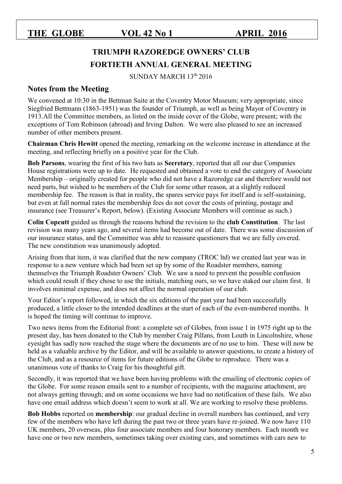# **TRIUMPH RAZOREDGE OWNERS' CLUB FORTIETH ANNUAL GENERAL MEETING**

SUNDAY MARCH 13th 2016

### **Notes from the Meeting**

We convened at 10:30 in the Bettman Suite at the Coventry Motor Museum; very appropriate, since Siegfried Bettmann (1863-1951) was the founder of Triumph, as well as being Mayor of Coventry in 1913.All the Committee members, as listed on the inside cover of the Globe, were present; with the exceptions of Tom Robinson (abroad) and Irving Dalton. We were also pleased to see an increased number of other members present.

**Chairman Chris Hewitt** opened the meeting, remarking on the welcome increase in attendance at the meeting, and reflecting briefly on a positive year for the Club.

**Bob Parsons**, wearing the first of his two hats as **Secretary**, reported that all our due Companies House registrations were up to date. He requested and obtained a vote to end the category of Associate Membership – originally created for people who did not have a Razoredge car and therefore would not need parts, but wished to be members of the Club for some other reason, at a slightly reduced membership fee. The reason is that in reality, the spares service pays for itself and is self-sustaining, but even at full normal rates the membership fees do not cover the costs of printing, postage and insurance (see Treasurer's Report, below). (Existing Associate Members will continue as such.)

**Colin Copcutt** guided us through the reasons behind the revision to the **club Constitution**. The last revision was many years ago, and several items had become out of date. There was some discussion of our insurance status, and the Committee was able to reassure questioners that we are fully covered. The new constitution was unanimously adopted.

Arising from that item, it was clarified that the new company (TROC ltd) we created last year was in response to a new venture which had been set up by some of the Roadster members, naming themselves the Triumph Roadster Owners' Club. We saw a need to prevent the possible confusion which could result if they chose to use the initials, matching ours, so we have staked our claim first. It involves minimal expense, and does not affect the normal operation of our club.

Your Editor's report followed, in which the six editions of the past year had been successfully produced, a little closer to the intended deadlines at the start of each of the even-numbered months. It is hoped the timing will continue to improve.

Two news items from the Editorial front: a complete set of Globes, from issue 1 in 1975 right up to the present day, has been donated to the Club by member Craig Pillans, from Louth in Lincolnshire, whose eyesight has sadly now reached the stage where the documents are of no use to him. These will now be held as a valuable archive by the Editor, and will be available to answer questions, to create a history of the Club, and as a resource of items for future editions of the Globe to reproduce. There was a unanimous vote of thanks to Craig for his thoughtful gift.

Secondly, it was reported that we have been having problems with the emailing of electronic copies of the Globe. For some reason emails sent to a number of recipients, with the magazine attachment, are not always getting through; and on some occasions we have had no notification of these fails. We also have one email address which doesn't seem to work at all. We are working to resolve these problems.

**Bob Hobbs** reported on **membership**: our gradual decline in overall numbers has continued, and very few of the members who have left during the past two or three years have re-joined. We now have 110 UK members, 20 overseas, plus four associate members and four honorary members. Each month we have one or two new members, sometimes taking over existing cars, and sometimes with cars new to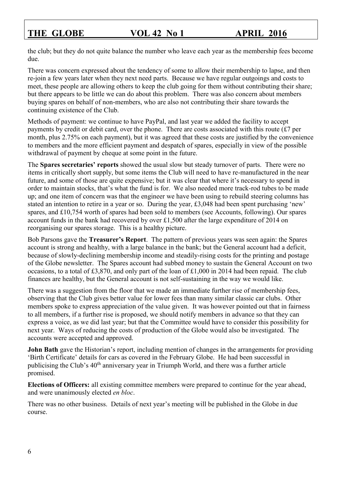the club; but they do not quite balance the number who leave each year as the membership fees become due.

There was concern expressed about the tendency of some to allow their membership to lapse, and then re-join a few years later when they next need parts. Because we have regular outgoings and costs to meet, these people are allowing others to keep the club going for them without contributing their share; but there appears to be little we can do about this problem. There was also concern about members buying spares on behalf of non-members, who are also not contributing their share towards the continuing existence of the Club.

Methods of payment: we continue to have PayPal, and last year we added the facility to accept payments by credit or debit card, over the phone. There are costs associated with this route (£7 per month, plus 2.75% on each payment), but it was agreed that these costs are justified by the convenience to members and the more efficient payment and despatch of spares, especially in view of the possible withdrawal of payment by cheque at some point in the future.

The **Spares secretaries' reports** showed the usual slow but steady turnover of parts. There were no items in critically short supply, but some items the Club will need to have re-manufactured in the near future, and some of those are quite expensive; but it was clear that where it's necessary to spend in order to maintain stocks, that's what the fund is for. We also needed more track-rod tubes to be made up; and one item of concern was that the engineer we have been using to rebuild steering columns has stated an intention to retire in a year or so. During the year, £3,048 had been spent purchasing 'new' spares, and £10,754 worth of spares had been sold to members (see Accounts, following). Our spares account funds in the bank had recovered by over £1,500 after the large expenditure of 2014 on reorganising our spares storage. This is a healthy picture.

Bob Parsons gave the **Treasurer's Report**. The pattern of previous years was seen again: the Spares account is strong and healthy, with a large balance in the bank; but the General account had a deficit, because of slowly-declining membership income and steadily-rising costs for the printing and postage of the Globe newsletter. The Spares account had subbed money to sustain the General Account on two occasions, to a total of £3,870, and only part of the loan of £1,000 in 2014 had been repaid. The club finances are healthy, but the General account is not self-sustaining in the way we would like.

There was a suggestion from the floor that we made an immediate further rise of membership fees, observing that the Club gives better value for lower fees than many similar classic car clubs. Other members spoke to express appreciation of the value given. It was however pointed out that in fairness to all members, if a further rise is proposed, we should notify members in advance so that they can express a voice, as we did last year; but that the Committee would have to consider this possibility for next year. Ways of reducing the costs of production of the Globe would also be investigated. The accounts were accepted and approved.

**John Bath** gave the Historian's report, including mention of changes in the arrangements for providing 'Birth Certificate' details for cars as covered in the February Globe. He had been successful in publicising the Club's 40<sup>th</sup> anniversary year in Triumph World, and there was a further article promised.

**Elections of Officers:** all existing committee members were prepared to continue for the year ahead, and were unanimously elected *en bloc*.

There was no other business. Details of next year's meeting will be published in the Globe in due course.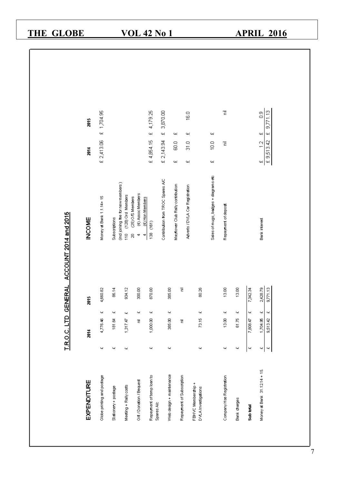| <b>GLOBE</b><br><b>THE</b>             |                            |                                                                                          | <b>VOL 42 No 1</b>                                                                            |                                   |                                                       |                                           |                                      |                           |                       | <b>APRIL 2016</b>                                                                          |  |
|----------------------------------------|----------------------------|------------------------------------------------------------------------------------------|-----------------------------------------------------------------------------------------------|-----------------------------------|-------------------------------------------------------|-------------------------------------------|--------------------------------------|---------------------------|-----------------------|--------------------------------------------------------------------------------------------|--|
|                                        |                            |                                                                                          |                                                                                               |                                   |                                                       |                                           |                                      |                           |                       |                                                                                            |  |
| 2015                                   | £ 1,704.95                 |                                                                                          | 4,179.25<br>$\ddot{\mathbf{z}}$                                                               | 3,870.00<br>$\ddot{\mathbf{z}}$   | 44                                                    | $\frac{60}{2}$<br>44                      | 44                                   | $\overline{\overline{z}}$ |                       | 9,771.13<br>$\frac{8}{10}$<br>44<br>щ                                                      |  |
| $\tilde{a}$                            | £ 2,413.06                 |                                                                                          | £4,854.15                                                                                     | £ 2,143.94                        | <u>ය</u><br>Щ.                                        | o<br>M<br>44                              | $\frac{10}{2}$<br>44                 | Έ                         |                       | £9,513.42<br>$\frac{1}{2}$<br>44                                                           |  |
| ACCOUNT 2014 and 2015<br><b>INCOME</b> | Money at Bank 1.1.14+15    | (ind joining tee for new members)<br>(128) Ord Members<br>Subscriptions<br>$\frac{1}{2}$ | (4) Assoc Members<br>(25) O.S Members<br>(4) Hon Members<br>138 (161)<br>g<br>$\ddot{ }$<br>4 | Contribution from TROC Spares A/C | Mayflower Club Rally contribution                     | Adverts / DVLA Car Registration           | Sales of mugs, badges + diagrams etc | Repayment of deposit      |                       | <b>Bank</b> interest                                                                       |  |
| <b>TROCLTD GENERAL</b><br>2015         | 4,660.82<br>ц<br>4,776.46  | 934.12<br>86.14<br>щ<br>щ<br>181.64<br>1,317.47                                          | 300.00<br>870.00<br>щ<br>ц<br>1,000.00<br>君                                                   |                                   | 385.00<br>Б<br>щ<br>385.00<br>Б                       | 80.26<br>щ<br>73.15                       |                                      | 13.00<br>щ<br>13.00       | $13.00$<br>ц<br>81.75 | 2,428.79<br>9,771.13<br>7,342.34<br>щ<br>щ<br>$\omega$<br>1,704.85<br>9,513.42<br>7,808,47 |  |
| 2014                                   | щ                          | щ<br>щ                                                                                   | щ                                                                                             |                                   | щ                                                     | щ                                         |                                      | щ                         | щ                     | щ<br>$\omega$<br>$\boldsymbol{\omega}$                                                     |  |
| EXPENDITURE                            | Globe printing and postage | Meeting + Rally costs<br>Stationery + postage                                            | Repayment of temp loan to<br>Gift / Donation / Bequest                                        | Spares A/c                        | Web design + maintenance<br>Repayment of Subscription | FBHVC Membership +<br>DVLA Investigations |                                      | Company Hse Registration  | Bank charges          | Money at Bank 31.12.14 + 15.<br>Sub trial                                                  |  |

 $\mathbf{z}_7$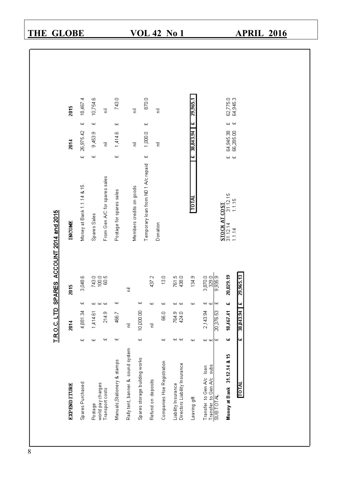# **APRIL 2016**

| <b>EXPENDITURE</b>                                      |          | 2014             |          | 2015             | <b>INCOME</b>                                       |                      | 2014                   |      | 2015                 |
|---------------------------------------------------------|----------|------------------|----------|------------------|-----------------------------------------------------|----------------------|------------------------|------|----------------------|
| Spares Purchased                                        | 46       | 4,881.34         | 44       | 3,048.6          | Money at Bank 1.1.14 & 15.                          | $\mathbf{Q}$         | 26,975.42              | 44   | 18,467.4             |
| Postage                                                 | 44       | 1,414.61         |          |                  | Spares Sales                                        | 44                   | 9,453.9                | 44   | 10,754.6             |
| world pay charges<br>Transport costs                    | щ        | 214.9            | 92 92 92 | 748.8<br>198     | From Gen A/C for spares sales                       |                      | Έ                      |      | Ē                    |
| Manuals, Stationery & stamps                            | 94       | 466.7            | щ        |                  | Postage for spares sales                            | 94                   | 1,414.6                | 94   | 743.0                |
| Rally tent, banner & sound system                       |          | Έ                |          | Έ                |                                                     |                      |                        |      |                      |
| Spares storage building works                           | 41       | 10 000.00        | 41       |                  | Members credits on goods                            |                      | Έ                      |      | Ē                    |
| Refund on deposits                                      |          | Έ                | 41       | 437.2            | Temporary loan from ND 1 A/c repaid                 | $\ddot{\phantom{1}}$ | 1,000.0                | 44   | 870.0                |
| Companies Hse Registration                              | щ        | <b>GSO</b>       | 41       | $\frac{1}{2}$    | Donation                                            |                      | Έ                      |      | 글                    |
| Liability Insurance                                     |          |                  |          | 761.5            |                                                     |                      |                        |      |                      |
| Directors Liability Insurance                           | 96 96    | 764.0<br>424     | 41 41    | 438.0            |                                                     |                      |                        |      |                      |
| Leaving gift                                            | 94       |                  | 44       | 134.9            | <b>LOTA</b>                                         | щ                    | 38,843,94              | Ļ٧   | 2955.                |
| subs<br>Transfer to Gen A/c loan<br>Transfer to Gen A/c | 90 90 90 | 2,143.94         | 90 90 90 | 3,870.0<br>329.0 |                                                     |                      |                        |      |                      |
| <b>MIOLE</b>                                            |          | 20,376.53        |          | 9,935.9          |                                                     |                      |                        |      |                      |
| Money at Bank 31.12.14 & 15                             | 4        | 18,467.41        | щ        | 20,029.19        | $31.12.15$<br>$1.1.15$<br>STOCK AT COST<br>31.12.14 | 91 91                | 64,945.38<br>66,285.00 | 40 H | 62,775.0<br>64,945.3 |
| <b>W101</b>                                             | 42       | <b>16 CPH 8C</b> | 4        | 29,965.13        | 1.1.14                                              |                      |                        |      |                      |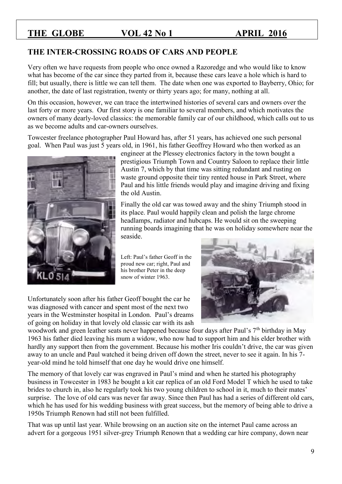### **THE INTER-CROSSING ROADS OF CARS AND PEOPLE**

Very often we have requests from people who once owned a Razoredge and who would like to know what has become of the car since they parted from it, because these cars leave a hole which is hard to fill; but usually, there is little we can tell them. The date when one was exported to Bayberry, Ohio; for another, the date of last registration, twenty or thirty years ago; for many, nothing at all.

On this occasion, however, we can trace the intertwined histories of several cars and owners over the last forty or more years. Our first story is one familiar to several members, and which motivates the owners of many dearly-loved classics: the memorable family car of our childhood, which calls out to us as we become adults and car-owners ourselves.

Towcester freelance photographer Paul Howard has, after 51 years, has achieved one such personal goal. When Paul was just 5 years old, in 1961, his father Geoffrey Howard who then worked as an



engineer at the Plessey electronics factory in the town bought a prestigious Triumph Town and Country Saloon to replace their little Austin 7, which by that time was sitting redundant and rusting on waste ground opposite their tiny rented house in Park Street, where Paul and his little friends would play and imagine driving and fixing the old Austin.

Finally the old car was towed away and the shiny Triumph stood in its place. Paul would happily clean and polish the large chrome headlamps, radiator and hubcaps. He would sit on the sweeping running boards imagining that he was on holiday somewhere near the seaside.

Left: Paul's father Geoff in the proud new car; right, Paul and his brother Peter in the deep snow of winter 1963.

Unfortunately soon after his father Geoff bought the car he was diagnosed with cancer and spent most of the next two years in the Westminster hospital in London. Paul's dreams of going on holiday in that lovely old classic car with its ash



woodwork and green leather seats never happened because four days after Paul's 7<sup>th</sup> birthday in May 1963 his father died leaving his mum a widow, who now had to support him and his elder brother with hardly any support then from the government. Because his mother Iris couldn't drive, the car was given away to an uncle and Paul watched it being driven off down the street, never to see it again. In his 7 year-old mind he told himself that one day he would drive one himself.

The memory of that lovely car was engraved in Paul's mind and when he started his photography business in Towcester in 1983 he bought a kit car replica of an old Ford Model T which he used to take brides to church in, also he regularly took his two young children to school in it, much to their mates' surprise. The love of old cars was never far away. Since then Paul has had a series of different old cars, which he has used for his wedding business with great success, but the memory of being able to drive a 1950s Triumph Renown had still not been fulfilled.

That was up until last year. While browsing on an auction site on the internet Paul came across an advert for a gorgeous 1951 silver-grey Triumph Renown that a wedding car hire company, down near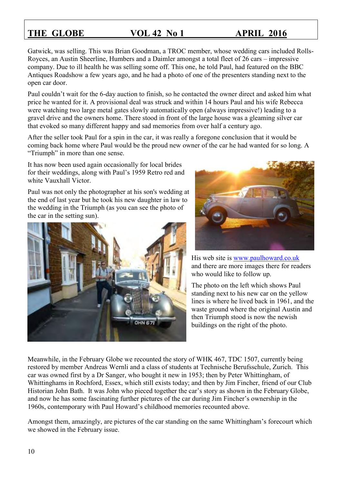Gatwick, was selling. This was Brian Goodman, a TROC member, whose wedding cars included Rolls-Royces, an Austin Sheerline, Humbers and a Daimler amongst a total fleet of 26 cars – impressive company. Due to ill health he was selling some off. This one, he told Paul, had featured on the BBC Antiques Roadshow a few years ago, and he had a photo of one of the presenters standing next to the open car door.

Paul couldn't wait for the 6-day auction to finish, so he contacted the owner direct and asked him what price he wanted for it. A provisional deal was struck and within 14 hours Paul and his wife Rebecca were watching two large metal gates slowly automatically open (always impressive!) leading to a gravel drive and the owners home. There stood in front of the large house was a gleaming silver car that evoked so many different happy and sad memories from over half a century ago.

After the seller took Paul for a spin in the car, it was really a foregone conclusion that it would be coming back home where Paul would be the proud new owner of the car he had wanted for so long. A "Triumph" in more than one sense.

It has now been used again occasionally for local brides for their weddings, along with Paul's 1959 Retro red and white Vauxhall Victor.

Paul was not only the photographer at his son's wedding at the end of last year but he took his new daughter in law to the wedding in the Triumph (as you can see the photo of the car in the setting sun).





His web site is www.paulhoward.co.uk and there are more images there for readers who would like to follow up.

The photo on the left which shows Paul standing next to his new car on the yellow lines is where he lived back in 1961, and the waste ground where the original Austin and then Triumph stood is now the newish buildings on the right of the photo.

Meanwhile, in the February Globe we recounted the story of WHK 467, TDC 1507, currently being restored by member Andreas Wernli and a class of students at Technische Berufsschule, Zurich. This car was owned first by a Dr Sanger, who bought it new in 1953; then by Peter Whittingham, of Whittinghams in Rochford, Essex, which still exists today; and then by Jim Fincher, friend of our Club Historian John Bath. It was John who pieced together the car's story as shown in the February Globe, and now he has some fascinating further pictures of the car during Jim Fincher's ownership in the 1960s, contemporary with Paul Howard's childhood memories recounted above.

Amongst them, amazingly, are pictures of the car standing on the same Whittingham's forecourt which we showed in the February issue.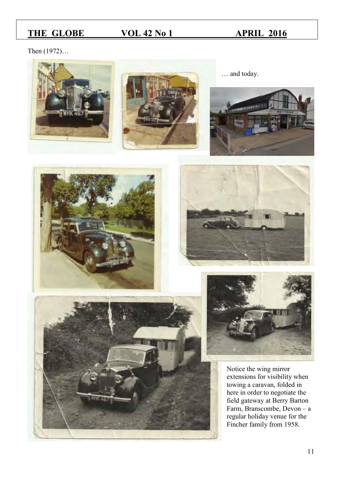Then (1972)…











Notice the wing mirror extensions for visibility when towing a caravan, folded in here in order to negotiate the field gateway at Berry Barton Farm, Branscombe, Devon – a regular holiday venue for the Fincher family from 1958.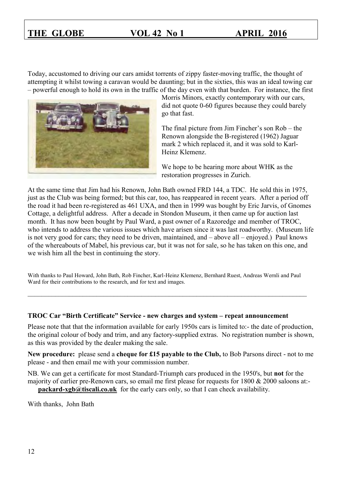Today, accustomed to driving our cars amidst torrents of zippy faster-moving traffic, the thought of attempting it whilst towing a caravan would be daunting; but in the sixties, this was an ideal towing car – powerful enough to hold its own in the traffic of the day even with that burden. For instance, the first



Morris Minors, exactly contemporary with our cars, did not quote 0-60 figures because they could barely go that fast.

The final picture from Jim Fincher's son Rob – the Renown alongside the B-registered (1962) Jaguar mark 2 which replaced it, and it was sold to Karl-Heinz Klemenz.

We hope to be hearing more about WHK as the restoration progresses in Zurich.

At the same time that Jim had his Renown, John Bath owned FRD 144, a TDC. He sold this in 1975, just as the Club was being formed; but this car, too, has reappeared in recent years. After a period off the road it had been re-registered as 461 UXA, and then in 1999 was bought by Eric Jarvis, of Gnomes Cottage, a delightful address. After a decade in Stondon Museum, it then came up for auction last month. It has now been bought by Paul Ward, a past owner of a Razoredge and member of TROC, who intends to address the various issues which have arisen since it was last roadworthy. (Museum life is not very good for cars; they need to be driven, maintained, and – above all – enjoyed.) Paul knows of the whereabouts of Mabel, his previous car, but it was not for sale, so he has taken on this one, and we wish him all the best in continuing the story.

With thanks to Paul Howard, John Bath, Rob Fincher, Karl-Heinz Klemenz, Bernhard Ruest, Andreas Wernli and Paul Ward for their contributions to the research, and for text and images.

\_\_\_\_\_\_\_\_\_\_\_\_\_\_\_\_\_\_\_\_\_\_\_\_\_\_\_\_\_\_\_\_\_\_\_\_\_\_\_\_\_\_\_\_\_\_\_\_\_\_\_\_\_\_\_\_\_\_\_\_\_\_\_\_\_\_\_\_\_\_\_\_\_\_\_\_\_\_\_\_\_

### **TROC Car "Birth Certificate" Service - new charges and system – repeat announcement**

Please note that that the information available for early 1950s cars is limited to:- the date of production, the original colour of body and trim, and any factory-supplied extras. No registration number is shown, as this was provided by the dealer making the sale.

**New procedure:** please send a **cheque for £15 payable to the Club,** to Bob Parsons direct - not to me please - and then email me with your commission number.

NB. We can get a certificate for most Standard-Triumph cars produced in the 1950's, but **not** for the majority of earlier pre-Renown cars, so email me first please for requests for 1800 & 2000 saloons at: **[packard-xgb@tiscali.co.uk](mailto:packard-xgb@tiscali.co.uk)** for the early cars only, so that I can check availability.

With thanks, John Bath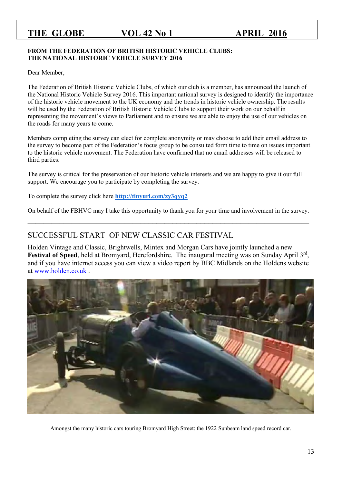### **FROM THE FEDERATION OF BRITISH HISTORIC VEHICLE CLUBS: THE NATIONAL HISTORIC VEHICLE SURVEY 2016**

Dear Member,

The Federation of British Historic Vehicle Clubs, of which our club is a member, has announced the launch of the National Historic Vehicle Survey 2016. This important national survey is designed to identify the importance of the historic vehicle movement to the UK economy and the trends in historic vehicle ownership. The results will be used by the Federation of British Historic Vehicle Clubs to support their work on our behalf in representing the movement's views to Parliament and to ensure we are able to enjoy the use of our vehicles on the roads for many years to come.

Members completing the survey can elect for complete anonymity or may choose to add their email address to the survey to become part of the Federation's focus group to be consulted form time to time on issues important to the historic vehicle movement. The Federation have confirmed that no email addresses will be released to third parties.

The survey is critical for the preservation of our historic vehicle interests and we are happy to give it our full support. We encourage you to participate by completing the survey.

To complete the survey click here **<http://tinyurl.com/zy3qyq2>**

On behalf of the FBHVC may I take this opportunity to thank you for your time and involvement in the survey.  $\_$  , and the set of the set of the set of the set of the set of the set of the set of the set of the set of the set of the set of the set of the set of the set of the set of the set of the set of the set of the set of th

### SUCCESSFUL START OF NEW CLASSIC CAR FESTIVAL

Holden Vintage and Classic, Brightwells, Mintex and Morgan Cars have jointly launched a new Festival of Speed, held at Bromyard, Herefordshire. The inaugural meeting was on Sunday April 3<sup>rd</sup>, and if you have internet access you can view a video report by BBC Midlands on the Holdens website at [www.holden.co.uk](http://www.holden.co.uk/) .



Amongst the many historic cars touring Bromyard High Street: the 1922 Sunbeam land speed record car.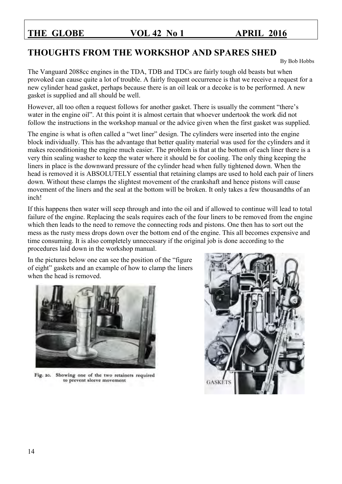# **THOUGHTS FROM THE WORKSHOP AND SPARES SHED**

By Bob Hobbs

The Vanguard 2088cc engines in the TDA, TDB and TDCs are fairly tough old beasts but when provoked can cause quite a lot of trouble. A fairly frequent occurrence is that we receive a request for a new cylinder head gasket, perhaps because there is an oil leak or a decoke is to be performed. A new gasket is supplied and all should be well.

However, all too often a request follows for another gasket. There is usually the comment "there's water in the engine oil". At this point it is almost certain that whoever undertook the work did not follow the instructions in the workshop manual or the advice given when the first gasket was supplied.

The engine is what is often called a "wet liner" design. The cylinders were inserted into the engine block individually. This has the advantage that better quality material was used for the cylinders and it makes reconditioning the engine much easier. The problem is that at the bottom of each liner there is a very thin sealing washer to keep the water where it should be for cooling. The only thing keeping the liners in place is the downward pressure of the cylinder head when fully tightened down. When the head is removed it is ABSOLUTELY essential that retaining clamps are used to hold each pair of liners down. Without these clamps the slightest movement of the crankshaft and hence pistons will cause movement of the liners and the seal at the bottom will be broken. It only takes a few thousandths of an inch!

If this happens then water will seep through and into the oil and if allowed to continue will lead to total failure of the engine. Replacing the seals requires each of the four liners to be removed from the engine which then leads to the need to remove the connecting rods and pistons. One then has to sort out the mess as the rusty mess drops down over the bottom end of the engine. This all becomes expensive and time consuming. It is also completely unnecessary if the original job is done according to the procedures laid down in the workshop manual.

In the pictures below one can see the position of the "figure of eight" gaskets and an example of how to clamp the liners when the head is removed.



Fig. 20. Showing one of the two retainers required to prevent sleeve movement

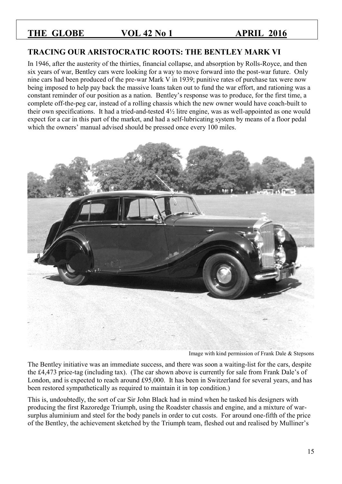### **TRACING OUR ARISTOCRATIC ROOTS: THE BENTLEY MARK VI**

In 1946, after the austerity of the thirties, financial collapse, and absorption by Rolls-Royce, and then six years of war, Bentley cars were looking for a way to move forward into the post-war future. Only nine cars had been produced of the pre-war Mark V in 1939; punitive rates of purchase tax were now being imposed to help pay back the massive loans taken out to fund the war effort, and rationing was a constant reminder of our position as a nation. Bentley's response was to produce, for the first time, a complete off-the-peg car, instead of a rolling chassis which the new owner would have coach-built to their own specifications. It had a tried-and-tested 4½ litre engine, was as well-appointed as one would expect for a car in this part of the market, and had a self-lubricating system by means of a floor pedal which the owners' manual advised should be pressed once every 100 miles.



Image with kind permission of Frank Dale & Stepsons

The Bentley initiative was an immediate success, and there was soon a waiting-list for the cars, despite the £4,473 price-tag (including tax). (The car shown above is currently for sale from Frank Dale's of London, and is expected to reach around £95,000. It has been in Switzerland for several years, and has been restored sympathetically as required to maintain it in top condition.)

This is, undoubtedly, the sort of car Sir John Black had in mind when he tasked his designers with producing the first Razoredge Triumph, using the Roadster chassis and engine, and a mixture of warsurplus aluminium and steel for the body panels in order to cut costs. For around one-fifth of the price of the Bentley, the achievement sketched by the Triumph team, fleshed out and realised by Mulliner's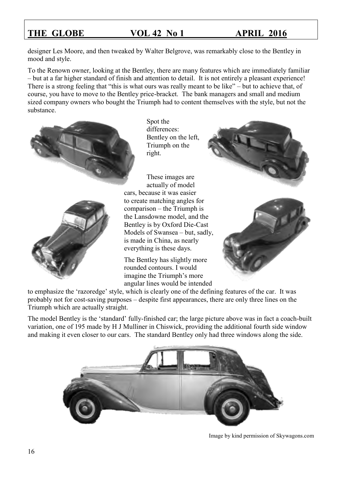designer Les Moore, and then tweaked by Walter Belgrove, was remarkably close to the Bentley in mood and style.

To the Renown owner, looking at the Bentley, there are many features which are immediately familiar – but at a far higher standard of finish and attention to detail. It is not entirely a pleasant experience! There is a strong feeling that "this is what ours was really meant to be like" – but to achieve that, of course, you have to move to the Bentley price-bracket. The bank managers and small and medium sized company owners who bought the Triumph had to content themselves with the style, but not the substance.





Spot the differences: Bentley on the left, Triumph on the right.

These images are actually of model cars, because it was easier to create matching angles for comparison – the Triumph is the Lansdowne model, and the Bentley is by Oxford Die-Cast Models of Swansea – but, sadly, is made in China, as nearly everything is these days.

The Bentley has slightly more rounded contours. I would imagine the Triumph's more angular lines would be intended





to emphasize the 'razoredge' style, which is clearly one of the defining features of the car. It was probably not for cost-saving purposes – despite first appearances, there are only three lines on the Triumph which are actually straight.

The model Bentley is the 'standard' fully-finished car; the large picture above was in fact a coach-built variation, one of 195 made by H J Mulliner in Chiswick, providing the additional fourth side window and making it even closer to our cars. The standard Bentley only had three windows along the side.



Image by kind permission of Skywagons.com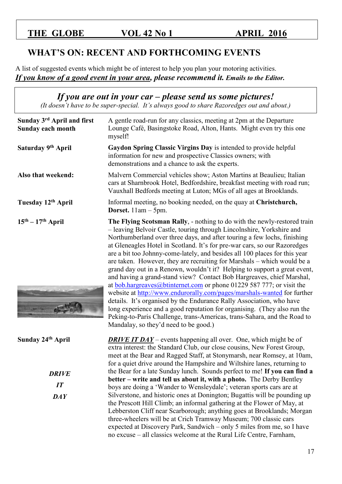# **WHAT'S ON: RECENT AND FORTHCOMING EVENTS**

A list of suggested events which might be of interest to help you plan your motoring activities. *If you know of a good event in your area, please recommend it. Emails to the Editor.* 

*If you are out in your car – please send us some pictures! (It doesn't have to be super-special. It's always good to share Razoredges out and about.)*

| Sunday 3rd April and first<br>Sunday each month                           | A gentle road-run for any classics, meeting at 2pm at the Departure<br>Lounge Café, Basingstoke Road, Alton, Hants. Might even try this one<br>myself!                                                                                                                                                                                                                                                                                                                                                                                                                                                                                                                                                                                                                                                                                                                                                                                                                                                                                                                |
|---------------------------------------------------------------------------|-----------------------------------------------------------------------------------------------------------------------------------------------------------------------------------------------------------------------------------------------------------------------------------------------------------------------------------------------------------------------------------------------------------------------------------------------------------------------------------------------------------------------------------------------------------------------------------------------------------------------------------------------------------------------------------------------------------------------------------------------------------------------------------------------------------------------------------------------------------------------------------------------------------------------------------------------------------------------------------------------------------------------------------------------------------------------|
| Saturday 9 <sup>th</sup> April                                            | Gaydon Spring Classic Virgins Day is intended to provide helpful<br>information for new and prospective Classics owners; with<br>demonstrations and a chance to ask the experts.                                                                                                                                                                                                                                                                                                                                                                                                                                                                                                                                                                                                                                                                                                                                                                                                                                                                                      |
| Also that weekend:                                                        | Malvern Commercial vehicles show; Aston Martins at Beaulieu; Italian<br>cars at Sharnbrook Hotel, Bedfordshire, breakfast meeting with road run;<br>Vauxhall Bedfords meeting at Luton; MGs of all ages at Brooklands.                                                                                                                                                                                                                                                                                                                                                                                                                                                                                                                                                                                                                                                                                                                                                                                                                                                |
| Tuesday 12 <sup>th</sup> April                                            | Informal meeting, no booking needed, on the quay at Christchurch,<br><b>Dorset.</b> $11am - 5pm$ .                                                                                                                                                                                                                                                                                                                                                                                                                                                                                                                                                                                                                                                                                                                                                                                                                                                                                                                                                                    |
| $15th - 17th$ April                                                       | The Flying Scotsman Rally, - nothing to do with the newly-restored train<br>- leaving Belvoir Castle, touring through Lincolnshire, Yorkshire and<br>Northumberland over three days, and after touring a few lochs, finishing<br>at Gleneagles Hotel in Scotland. It's for pre-war cars, so our Razoredges<br>are a bit too Johnny-come-lately, and besides all 100 places for this year<br>are taken. However, they are recruiting for Marshals – which would be a<br>grand day out in a Renown, wouldn't it? Helping to support a great event,<br>and having a grand-stand view? Contact Bob Hargreaves, chief Marshal,<br>at $\underline{bob}$ .hargreaves@btinternet.com or phone 01229 587 777; or visit the<br>website at http://www.endurorally.com/pages/marshals-wanted for further<br>details. It's organised by the Endurance Rally Association, who have<br>long experience and a good reputation for organising. (They also run the<br>Peking-to-Paris Challenge, trans-Americas, trans-Sahara, and the Road to<br>Mandalay, so they'd need to be good.) |
| Sunday 24 <sup>th</sup> April<br><b>DRIVE</b><br>IT<br>$\boldsymbol{DAY}$ | <b>DRIVE IT DAY</b> – events happening all over. One, which might be of<br>extra interest: the Standard Club, our close cousins, New Forest Group,<br>meet at the Bear and Ragged Staff, at Stonymarsh, near Romsey, at 10am,<br>for a quiet drive around the Hampshire and Wiltshire lanes, returning to<br>the Bear for a late Sunday lunch. Sounds perfect to me! If you can find a<br>better – write and tell us about it, with a photo. The Derby Bentley<br>boys are doing a 'Wander to Wensleydale'; veteran sports cars are at<br>Silverstone, and historic ones at Donington; Bugattis will be pounding up<br>the Prescott Hill Climb; an informal gathering at the Flower of May, at<br>Lebberston Cliff near Scarborough; anything goes at Brooklands; Morgan<br>three-wheelers will be at Crich Tramway Museum; 700 classic cars<br>expected at Discovery Park, Sandwich - only 5 miles from me, so I have                                                                                                                                                |
|                                                                           | no excuse – all classics welcome at the Rural Life Centre, Farnham,                                                                                                                                                                                                                                                                                                                                                                                                                                                                                                                                                                                                                                                                                                                                                                                                                                                                                                                                                                                                   |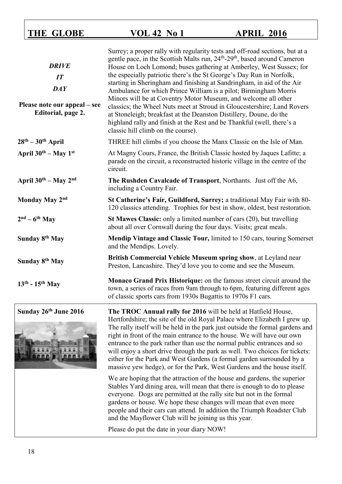| <b>DRIVE</b><br>IT<br>DAY<br>Please note our appeal – see<br>Editorial, page 2. | Surrey; a proper rally with regularity tests and off-road sections, but at a<br>gentle pace, in the Scottish Malts run, 24 <sup>th</sup> -29 <sup>th</sup> , based around Cameron<br>House on Loch Lomond; buses gathering at Amberley, West Sussex; for<br>the especially patriotic there's the St George's Day Run in Norfolk,<br>starting in Sheringham and finishing at Sandringham, in aid of the Air<br>Ambulance for which Prince William is a pilot; Birmingham Morris<br>Minors will be at Coventry Motor Museum, and welcome all other<br>classics; the Wheel Nuts meet at Stroud in Gloucestershire; Land Rovers<br>at Stoneleigh; breakfast at the Deanston Distillery, Doune, do the<br>highland rally and finish at the Rest and be Thankful (well, there's a<br>classic hill climb on the course). |
|---------------------------------------------------------------------------------|-------------------------------------------------------------------------------------------------------------------------------------------------------------------------------------------------------------------------------------------------------------------------------------------------------------------------------------------------------------------------------------------------------------------------------------------------------------------------------------------------------------------------------------------------------------------------------------------------------------------------------------------------------------------------------------------------------------------------------------------------------------------------------------------------------------------|
| $28th - 30th$ April                                                             | THREE hill climbs if you choose the Manx Classic on the Isle of Man.                                                                                                                                                                                                                                                                                                                                                                                                                                                                                                                                                                                                                                                                                                                                              |
| April $30^{th}$ – May $1^{st}$                                                  | At Magny Cours, France, the British Classic hosted by Jaques Lafitte; a<br>parade on the circuit, a reconstructed historic village in the centre of the<br>circuit.                                                                                                                                                                                                                                                                                                                                                                                                                                                                                                                                                                                                                                               |
| April 30th - May 2nd                                                            | The Rushden Cavalcade of Transport, Northants. Just off the A6,<br>including a Country Fair.                                                                                                                                                                                                                                                                                                                                                                                                                                                                                                                                                                                                                                                                                                                      |
| Monday May 2nd                                                                  | St Catherine's Fair, Guildford, Surrey; a traditional May Fair with 80-<br>120 classics attending. Trophies for best in show, oldest, best restoration.                                                                                                                                                                                                                                                                                                                                                                                                                                                                                                                                                                                                                                                           |
| $2nd - 6th$ May                                                                 | St Mawes Classic: only a limited number of cars (20), but travelling<br>about all over Cornwall during the four days. Visits; great meals.                                                                                                                                                                                                                                                                                                                                                                                                                                                                                                                                                                                                                                                                        |
| Sunday 8 <sup>th</sup> May                                                      | Mendip Vintage and Classic Tour, limited to 150 cars, touring Somerset<br>and the Mendips. Lovely.                                                                                                                                                                                                                                                                                                                                                                                                                                                                                                                                                                                                                                                                                                                |
| Sunday 8 <sup>th</sup> May                                                      | British Commercial Vehicle Museum spring show, at Leyland near<br>Preston, Lancashire. They'd love you to come and see the Museum.                                                                                                                                                                                                                                                                                                                                                                                                                                                                                                                                                                                                                                                                                |
| $13th - 15th$ May                                                               | Monaco Grand Prix Historique: on the famous street circuit around the<br>town, a series of races from 9am through to 6pm, featuring different ages<br>of classic sports cars from 1930s Bugattis to 1970s F1 cars.                                                                                                                                                                                                                                                                                                                                                                                                                                                                                                                                                                                                |
| Sunday 26th June 2016                                                           | The TROC Annual rally for 2016 will be held at Hatfield House,<br>Hertfordshire; the site of the old Royal Palace where Elizabeth I grew up.<br>The rally itself will be held in the park just outside the formal gardens and<br>right in front of the main entrance to the house. We will have our own                                                                                                                                                                                                                                                                                                                                                                                                                                                                                                           |



right in front of the main entrance to the house. We will have our own entrance to the park rather than use the normal public entrances and so will enjoy a short drive through the park as well. Two choices for tickets: either for the Park and West Gardens (a formal garden surrounded by a massive yew hedge), or for the Park, West Gardens and the house itself.

We are hoping that the attraction of the house and gardens, the superior Stables Yard dining area, will mean that there is enough to do to please everyone. Dogs are permitted at the rally site but not in the formal gardens or house. We hope these changes will mean that even more people and their cars can attend. In addition the Triumph Roadster Club and the Mayflower Club will be joining us this year.

Please do put the date in your diary NOW!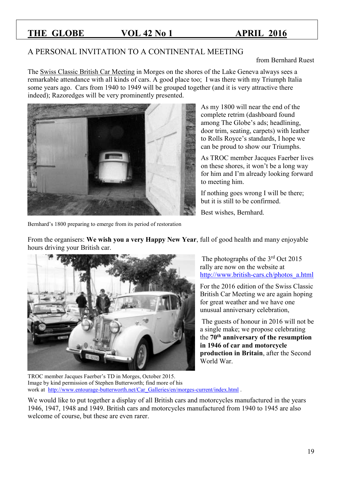### A PERSONAL INVITATION TO A CONTINENTAL MEETING

from Bernhard Ruest

The Swiss Classic British Car Meeting in Morges on the shores of the Lake Geneva always sees a remarkable attendance with all kinds of cars. A good place too; I was there with my Triumph Italia some years ago. Cars from 1940 to 1949 will be grouped together (and it is very attractive there indeed); Razoredges will be very prominently presented.

From the organisers: **We wish you a very Happy New Year**, full of good health and many enjoyable



As my 1800 will near the end of the complete retrim (dashboard found among The Globe's ads; headlining, door trim, seating, carpets) with leather to Rolls Royce's standards, I hope we can be proud to show our Triumphs.

As TROC member Jacques Faerber lives on these shores, it won't be a long way for him and I'm already looking forward to meeting him.

If nothing goes wrong I will be there; but it is still to be confirmed.

Best wishes, Bernhard.

Bernhard's 1800 preparing to emerge from its period of restoration

hours driving your British car.

The photographs of the  $3<sup>rd</sup>$  Oct 2015 rally are now on the website at [http://www.british-cars.ch/photos\\_a.html](http://www.british-cars.ch/photos_a.html)

For the 2016 edition of the Swiss Classic British Car Meeting we are again hoping for great weather and we have one unusual anniversary celebration,

The guests of honour in 2016 will not be a single make; we propose celebrating the **70th anniversary of the resumption in 1946 of car and motorcycle production in Britain**, after the Second World War.

TROC member Jacques Faerber's TD in Morges, October 2015. Image by kind permission of Stephen Butterworth; find more of his work at [http://www.entourage-butterworth.net/Car\\_Galleries/en/morges-current/index.html](http://www.entourage-butterworth.net/Car_Galleries/en/morges-current/index.html) .

We would like to put together a display of all British cars and motorcycles manufactured in the years 1946, 1947, 1948 and 1949. British cars and motorcycles manufactured from 1940 to 1945 are also welcome of course, but these are even rarer.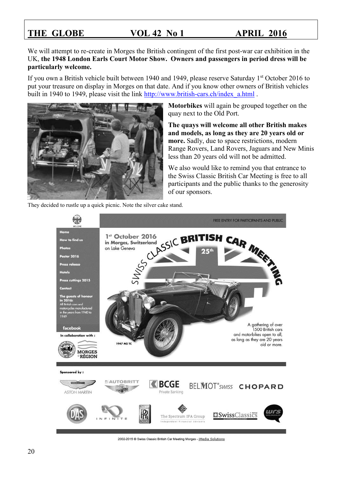We will attempt to re-create in Morges the British contingent of the first post-war car exhibition in the UK, **the 1948 London Earls Court Motor Show. Owners and passengers in period dress will be particularly welcome.**

If you own a British vehicle built between 1940 and 1949, please reserve Saturday 1<sup>st</sup> October 2016 to put your treasure on display in Morges on that date. And if you know other owners of British vehicles built in 1940 to 1949, please visit the link [http://www.british-cars.ch/index\\_a.html](http://www.british-cars.ch/index_a.html) .



They decided to rustle up a quick picnic. Note the silver cake stand.

**Motorbikes** will again be grouped together on the quay next to the Old Port.

**The quays will welcome all other British makes and models, as long as they are 20 years old or more.** Sadly, due to space restrictions, modern Range Rovers, Land Rovers, Jaguars and New Minis less than 20 years old will not be admitted.

We also would like to remind you that entrance to the Swiss Classic British Car Meeting is free to all participants and the public thanks to the generosity of our sponsors.



2002-2015 @ Swiss Classic British Car Meeting Morges - iMedia Solutions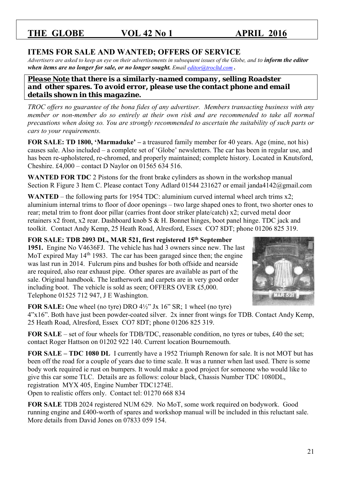### **ITEMS FOR SALE AND WANTED; OFFERS OF SERVICE**

*Advertisers are asked to keep an eye on their advertisements in subsequent issues of the Globe, and to inform the editor when items are no longer for sale, or no longer sought. Email [editor@trocltd.com](mailto:editor@trocltd.com)*.

*Please Note that there is a similarly-named company, selling Roadster*  and other spares. To avoid error, please use the contact phone and email *details shown in this magazine.*

*TROC offers no guarantee of the bona fides of any advertiser. Members transacting business with any member or non-member do so entirely at their own risk and are recommended to take all normal precautions when doing so. You are strongly recommended to ascertain the suitability of such parts or cars to your requirements.* 

**FOR SALE: TD 1800, 'Marmaduke' –** a treasured family member for 40 years. Age (mine, not his) causes sale. Also included – a complete set of 'Globe' newsletters. The car has been in regular use, and has been re-upholstered, re-chromed, and properly maintained; complete history. Located in Knutsford, Cheshire. £4,000 – contact D Naylor on 01565 634 516.

**WANTED FOR TDC** 2 Pistons for the front brake cylinders as shown in the workshop manual Section R Figure 3 Item C. Please contact Tony Adlard 01544 231627 or email janda4142@gmail.com

**WANTED** – the following parts for 1954 TDC: aluminium curved internal wheel arch trims x2; aluminium internal trims to floor of door openings – two large shaped ones to front, two shorter ones to rear; metal trim to front door pillar (carries front door striker plate/catch) x2; curved metal door retainers x2 front, x2 rear. Dashboard knob S & H. Bonnet hinges, boot panel hinge. TDC jack and toolkit. Contact Andy Kemp, 25 Heath Road, Alresford, Essex CO7 8DT; phone 01206 825 319.

**FOR SALE: TDB 2093 DL, MAR 521, first registered 15th September 1951.** Engine No V4636FJ. The vehicle has had 3 owners since new. The last MoT expired May  $14<sup>th</sup>$  1983. The car has been garaged since then; the engine was last run in 2014. Fulcrum pins and bushes for both offside and nearside are required, also rear exhaust pipe. Other spares are available as part of the sale. Original handbook. The leatherwork and carpets are in very good order including boot. The vehicle is sold as seen; OFFERS OVER £5,000. Telephone 01525 712 947, J E Washington.



**FOR SALE:** One wheel (no tyre) DRO 4½" Jx 16" SR; 1 wheel (no tyre)

4"x16". Both have just been powder-coated silver. 2x inner front wings for TDB. Contact Andy Kemp, 25 Heath Road, Alresford, Essex CO7 8DT; phone 01206 825 319.

**FOR SALE** – set of four wheels for TDB/TDC, reasonable condition, no tyres or tubes, £40 the set; contact Roger Hattson on 01202 922 140. Current location Bournemouth.

**FOR SALE – TDC 1080 DL** I currently have a 1952 Triumph Renown for sale. It is not MOT but has been off the road for a couple of years due to time scale. It was a runner when last used. There is some body work required ie rust on bumpers. It would make a good project for someone who would like to give this car some TLC. Details are as follows: colour black, Chassis Number TDC 1080DL, registration MYX 405, Engine Number TDC1274E. Open to realistic offers only. Contact tel: 01270 668 834

**FOR SALE** TDB 2024 registered NUM 629. No MoT, some work required on bodywork. Good running engine and £400-worth of spares and workshop manual will be included in this reluctant sale. More details from David Jones on 07833 059 154.